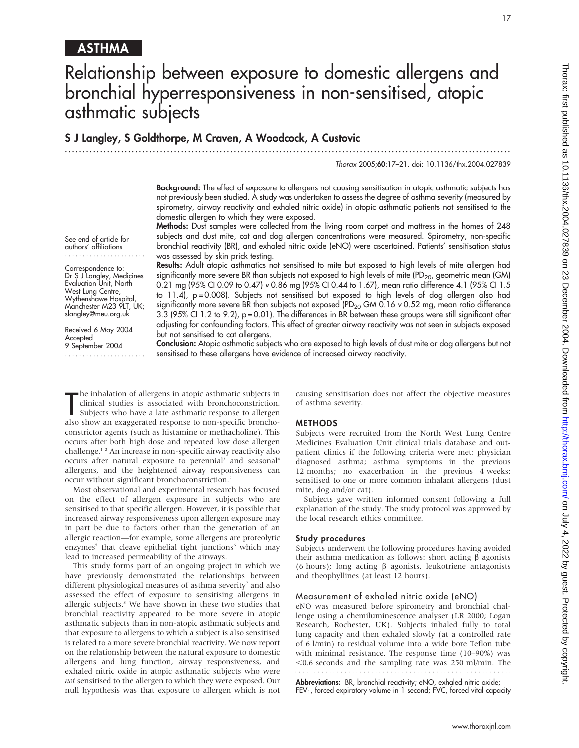17

## ASTHMA

# Relationship between exposure to domestic allergens and bronchial hyperresponsiveness in non-sensitised, atopic asthmatic subjects

## S J Langley, S Goldthorpe, M Craven, A Woodcock, A Custovic

............................................................................................................................... Thorax 2005;60:17–21. doi: 10.1136/thx.2004.027839

> Background: The effect of exposure to allergens not causing sensitisation in atopic asthmatic subjects has not previously been studied. A study was undertaken to assess the degree of asthma severity (measured by

> spirometry, airway reactivity and exhaled nitric oxide) in atopic asthmatic patients not sensitised to the domestic allergen to which they were exposed.

> Methods: Dust samples were collected from the living room carpet and mattress in the homes of 248 subjects and dust mite, cat and dog allergen concentrations were measured. Spirometry, non-specific bronchial reactivity (BR), and exhaled nitric oxide (eNO) were ascertained. Patients' sensitisation status was assessed by skin prick testing.

authors' affiliations ....................... Correspondence to: Dr S J Langley, Medicines

See end of article for

Evaluation Unit, North West Lung Centre, Wythenshawe Hospital, Manchester M23 9LT, UK; slangley@meu.org.uk

Received 6 May 2004 **Accepted** 9 September 2004

.......................

Results: Adult atopic asthmatics not sensitised to mite but exposed to high levels of mite allergen had significantly more severe BR than subjects not exposed to high levels of mite (PD<sub>20</sub>, geometric mean (GM) 0.21 mg (95% CI 0.09 to 0.47) v 0.86 mg (95% CI 0.44 to 1.67), mean ratio difference 4.1 (95% CI 1.5 to 11.4), p=0.008). Subjects not sensitised but exposed to high levels of dog allergen also had significantly more severe BR than subjects not exposed (PD<sub>20</sub> GM 0.16 v 0.52 mg, mean ratio difference 3.3 (95% CI 1.2 to 9.2), p = 0.01). The differences in BR between these groups were still significant after adjusting for confounding factors. This effect of greater airway reactivity was not seen in subjects exposed but not sensitised to cat allergens.

Conclusion: Atopic asthmatic subjects who are exposed to high levels of dust mite or dog allergens but not sensitised to these allergens have evidence of increased airway reactivity.

The innalation of allergens in atopic asthmatic subjects in clinical studies is associated with bronchoconstriction.<br>Subjects who have a late asthmatic response to allergen<br>also show an exaggerated response to non-specific he inhalation of allergens in atopic asthmatic subjects in clinical studies is associated with bronchoconstriction. Subjects who have a late asthmatic response to allergen constrictor agents (such as histamine or methacholine). This occurs after both high dose and repeated low dose allergen challenge.1 2 An increase in non-specific airway reactivity also occurs after natural exposure to perennial<sup>3</sup> and seasonal<sup>4</sup> allergens, and the heightened airway responsiveness can occur without significant bronchoconstriction.2

Most observational and experimental research has focused on the effect of allergen exposure in subjects who are sensitised to that specific allergen. However, it is possible that increased airway responsiveness upon allergen exposure may in part be due to factors other than the generation of an allergic reaction—for example, some allergens are proteolytic enzymes<sup>5</sup> that cleave epithelial tight junctions<sup>6</sup> which may lead to increased permeability of the airways.

This study forms part of an ongoing project in which we have previously demonstrated the relationships between different physiological measures of asthma severity<sup>7</sup> and also assessed the effect of exposure to sensitising allergens in allergic subjects.<sup>8</sup> We have shown in these two studies that bronchial reactivity appeared to be more severe in atopic asthmatic subjects than in non-atopic asthmatic subjects and that exposure to allergens to which a subject is also sensitised is related to a more severe bronchial reactivity. We now report on the relationship between the natural exposure to domestic allergens and lung function, airway responsiveness, and exhaled nitric oxide in atopic asthmatic subjects who were not sensitised to the allergen to which they were exposed. Our null hypothesis was that exposure to allergen which is not causing sensitisation does not affect the objective measures of asthma severity.

#### METHODS

Subjects were recruited from the North West Lung Centre Medicines Evaluation Unit clinical trials database and outpatient clinics if the following criteria were met: physician diagnosed asthma; asthma symptoms in the previous 12 months; no exacerbation in the previous 4 weeks; sensitised to one or more common inhalant allergens (dust mite, dog and/or cat).

Subjects gave written informed consent following a full explanation of the study. The study protocol was approved by the local research ethics committee.

#### Study procedures

Subjects underwent the following procedures having avoided their asthma medication as follows: short acting  $\beta$  agonists (6 hours); long acting  $\beta$  agonists, leukotriene antagonists and theophyllines (at least 12 hours).

#### Measurement of exhaled nitric oxide (eNO)

eNO was measured before spirometry and bronchial challenge using a chemiluminescence analyser (LR 2000; Logan Research, Rochester, UK). Subjects inhaled fully to total lung capacity and then exhaled slowly (at a controlled rate of 6 l/min) to residual volume into a wide bore Teflon tube with minimal resistance. The response time (10–90%) was  $<$ 0.6 seconds and the sampling rate was 250 ml/min. The 

Abbreviations: BR, bronchial reactivity; eNO, exhaled nitric oxide; FEV<sub>1</sub>, forced expiratory volume in 1 second; FVC, forced vital capacity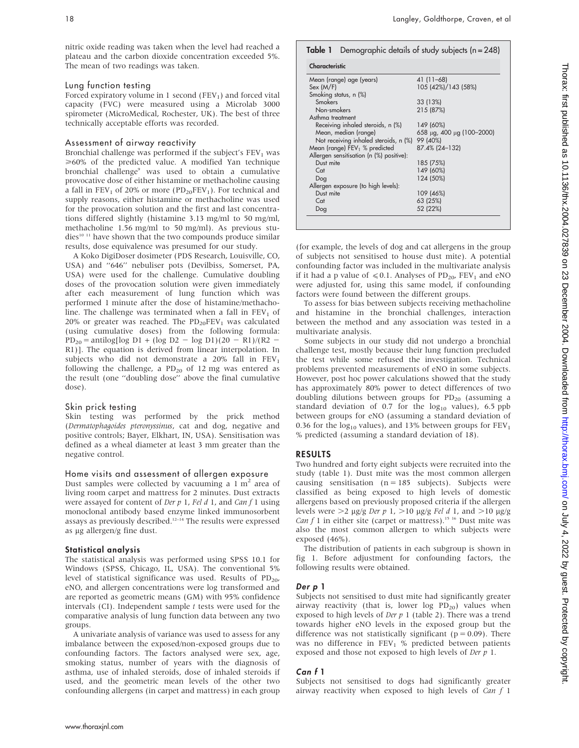nitric oxide reading was taken when the level had reached a plateau and the carbon dioxide concentration exceeded 5%. The mean of two readings was taken.

#### Lung function testing

Forced expiratory volume in 1 second (FEV<sub>1</sub>) and forced vital capacity (FVC) were measured using a Microlab 3000 spirometer (MicroMedical, Rochester, UK). The best of three technically acceptable efforts was recorded.

#### Assessment of airway reactivity

Bronchial challenge was performed if the subject's  $FEV<sub>1</sub>$  was  $\geq 60\%$  of the predicted value. A modified Yan technique bronchial challenge<sup>9</sup> was used to obtain a cumulative provocative dose of either histamine or methacholine causing a fall in  $FEV_1$  of 20% or more ( $PD_{20}FEV_1$ ). For technical and supply reasons, either histamine or methacholine was used for the provocation solution and the first and last concentrations differed slightly (histamine 3.13 mg/ml to 50 mg/ml, methacholine 1.56 mg/ml to 50 mg/ml). As previous stu $dies<sup>10</sup>$  <sup>11</sup> have shown that the two compounds produce similar results, dose equivalence was presumed for our study.

A Koko DigiDoser dosimeter (PDS Research, Louisville, CO, USA) and ''646'' nebuliser pots (Devilbiss, Somerset, PA, USA) were used for the challenge. Cumulative doubling doses of the provocation solution were given immediately after each measurement of lung function which was performed 1 minute after the dose of histamine/methacholine. The challenge was terminated when a fall in  $FEV<sub>1</sub>$  of 20% or greater was reached. The  $PD_{20}FEV_1$  was calculated (using cumulative doses) from the following formula:  $PD_{20} = antilog[log D1 + (log D2 - log D1)(20 - R1)/(R2 -$ R1)]. The equation is derived from linear interpolation. In subjects who did not demonstrate a  $20\%$  fall in  $FEV<sub>1</sub>$ following the challenge, a  $PD_{20}$  of 12 mg was entered as the result (one ''doubling dose'' above the final cumulative dose).

#### Skin prick testing

Skin testing was performed by the prick method (Dermatophagoides pteronyssinus, cat and dog, negative and positive controls; Bayer, Elkhart, IN, USA). Sensitisation was defined as a wheal diameter at least 3 mm greater than the negative control.

#### Home visits and assessment of allergen exposure

Dust samples were collected by vacuuming a  $1 \text{ m}^2$  area of living room carpet and mattress for 2 minutes. Dust extracts were assayed for content of Der  $p$  1, Fel  $d$  1, and Can  $f$  1 using monoclonal antibody based enzyme linked immunosorbent assays as previously described.<sup>12-14</sup> The results were expressed as µg allergen/g fine dust.

#### Statistical analysis

The statistical analysis was performed using SPSS 10.1 for Windows (SPSS, Chicago, IL, USA). The conventional 5% level of statistical significance was used. Results of  $PD_{20}$ , eNO, and allergen concentrations were log transformed and are reported as geometric means (GM) with 95% confidence intervals (CI). Independent sample  $t$  tests were used for the comparative analysis of lung function data between any two groups.

A univariate analysis of variance was used to assess for any imbalance between the exposed/non-exposed groups due to confounding factors. The factors analysed were sex, age, smoking status, number of years with the diagnosis of asthma, use of inhaled steroids, dose of inhaled steroids if used, and the geometric mean levels of the other two confounding allergens (in carpet and mattress) in each group

| Characteristic                           |                                     |  |  |  |
|------------------------------------------|-------------------------------------|--|--|--|
| Mean (range) age (years)                 | 41 (11–68)                          |  |  |  |
| Sex (M/F)                                | 105 (42%)/143 (58%)                 |  |  |  |
| Smoking status, n (%)                    |                                     |  |  |  |
| Smokers                                  | 33 (13%)                            |  |  |  |
| Non-smokers                              | 215 (87%)                           |  |  |  |
| Asthma treatment                         |                                     |  |  |  |
| Receiving inhaled steroids, n (%)        | 149 (60%)                           |  |  |  |
| Mean, median (range)                     | 658 $\mu$ g, 400 $\mu$ g (100-2000) |  |  |  |
| Not receiving inhaled steroids, n (%)    | 99 (40%)                            |  |  |  |
| Mean (range) $FEV1$ % predicted          | 87.4% (24-132)                      |  |  |  |
| Allergen sensitisation (n (%) positive): |                                     |  |  |  |
| Dust mite                                | 185 (75%)                           |  |  |  |
| Cat                                      | 149 (60%)                           |  |  |  |
| Dog                                      | 124 (50%)                           |  |  |  |
| Allergen exposure (to high levels):      |                                     |  |  |  |
| Dust mite                                | 109 (46%)                           |  |  |  |
| Cat                                      | 63 (25%)                            |  |  |  |
| Dog                                      | 52 (22%)                            |  |  |  |

(for example, the levels of dog and cat allergens in the group of subjects not sensitised to house dust mite). A potential confounding factor was included in the multivariate analysis if it had a p value of  $\le 0.1$ . Analyses of PD<sub>20</sub>, FEV<sub>1</sub> and eNO were adjusted for, using this same model, if confounding factors were found between the different groups.

To assess for bias between subjects receiving methacholine and histamine in the bronchial challenges, interaction between the method and any association was tested in a multivariate analysis.

Some subjects in our study did not undergo a bronchial challenge test, mostly because their lung function precluded the test while some refused the investigation. Technical problems prevented measurements of eNO in some subjects. However, post hoc power calculations showed that the study has approximately 80% power to detect differences of two doubling dilutions between groups for  $PD_{20}$  (assuming a standard deviation of 0.7 for the  $log_{10}$  values), 6.5 ppb between groups for eNO (assuming a standard deviation of 0.36 for the  $log_{10}$  values), and 13% between groups for  $FEV<sub>1</sub>$ % predicted (assuming a standard deviation of 18).

#### RESULTS

Two hundred and forty eight subjects were recruited into the study (table 1). Dust mite was the most common allergen causing sensitisation  $(n = 185$  subjects). Subjects were classified as being exposed to high levels of domestic allergens based on previously proposed criteria if the allergen levels were  $>2 \mu g/g$  Der p 1,  $>10 \mu g/g$  Fel d 1, and  $>10 \mu g/g$ Can f 1 in either site (carpet or mattress).<sup>15 16</sup> Dust mite was also the most common allergen to which subjects were exposed (46%).

The distribution of patients in each subgroup is shown in fig 1. Before adjustment for confounding factors, the following results were obtained.

#### Der p 1

Subjects not sensitised to dust mite had significantly greater airway reactivity (that is, lower log  $PD_{20}$ ) values when exposed to high levels of Der  $p$  1 (table 2). There was a trend towards higher eNO levels in the exposed group but the difference was not statistically significant ( $p = 0.09$ ). There was no difference in  $FEV<sub>1</sub>$  % predicted between patients exposed and those not exposed to high levels of Der p 1.

#### Can f 1

Subjects not sensitised to dogs had significantly greater airway reactivity when exposed to high levels of  $Can f 1$ 

www.thoraxjnl.com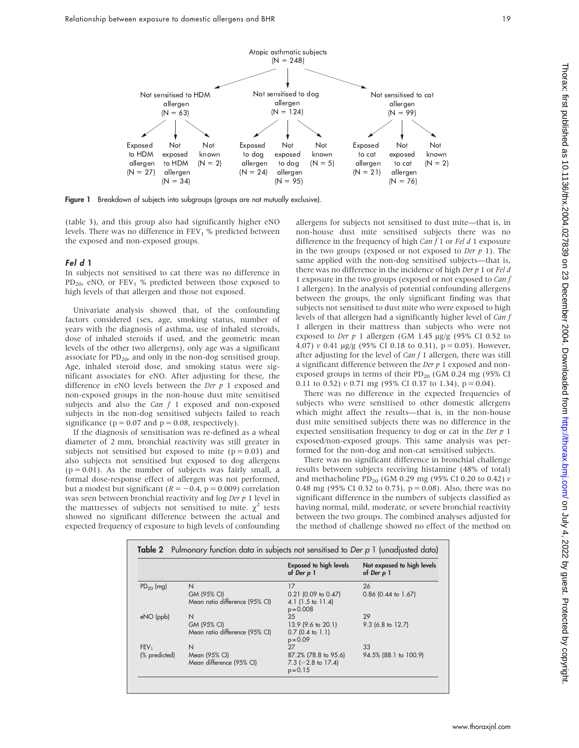

Figure 1 Breakdown of subjects into subgroups (groups are not mutually exclusive).

(table 3), and this group also had significantly higher eNO levels. There was no difference in  $FEV<sub>1</sub>$  % predicted between the exposed and non-exposed groups.

#### Fel d 1

In subjects not sensitised to cat there was no difference in  $PD_{20}$ , eNO, or  $FEV_1$  % predicted between those exposed to high levels of that allergen and those not exposed.

Univariate analysis showed that, of the confounding factors considered (sex, age, smoking status, number of years with the diagnosis of asthma, use of inhaled steroids, dose of inhaled steroids if used, and the geometric mean levels of the other two allergens), only age was a significant associate for  $PD_{20}$ , and only in the non-dog sensitised group. Age, inhaled steroid dose, and smoking status were significant associates for eNO. After adjusting for these, the difference in eNO levels between the Der  $p$  1 exposed and non-exposed groups in the non-house dust mite sensitised subjects and also the *Can f* 1 exposed and non-exposed subjects in the non-dog sensitised subjects failed to reach significance ( $p = 0.07$  and  $p = 0.08$ , respectively).

If the diagnosis of sensitisation was re-defined as a wheal diameter of 2 mm, bronchial reactivity was still greater in subjects not sensitised but exposed to mite  $(p = 0.03)$  and also subjects not sensitised but exposed to dog allergens  $(p = 0.01)$ . As the number of subjects was fairly small, a formal dose-response effect of allergen was not performed, but a modest but significant ( $R = -0.4$ ,  $p = 0.009$ ) correlation was seen between bronchial reactivity and  $\log Der p$  1 level in the mattresses of subjects not sensitised to mite.  $\chi^2$  tests showed no significant difference between the actual and expected frequency of exposure to high levels of confounding

allergens for subjects not sensitised to dust mite—that is, in non-house dust mite sensitised subjects there was no difference in the frequency of high  $Can f 1$  or  $Fel d 1$  exposure in the two groups (exposed or not exposed to Der  $p$  1). The same applied with the non-dog sensitised subjects—that is, there was no difference in the incidence of high  $Der p 1$  or  $Fel d$ 1 exposure in the two groups (exposed or not exposed to Can f 1 allergen). In the analysis of potential confounding allergens between the groups, the only significant finding was that subjects not sensitised to dust mite who were exposed to high levels of that allergen had a significantly higher level of Can f 1 allergen in their mattress than subjects who were not exposed to Der  $p$  1 allergen (GM 1.45  $\mu$ g/g (95% CI 0.52 to 4.07)  $\nu$  0.41  $\mu$ g/g (95% CI 0.18 to 0.31), p = 0.05). However, after adjusting for the level of  $Can f 1$  allergen, there was still a significant difference between the Der  $p$  1 exposed and nonexposed groups in terms of their  $PD_{20}$  (GM 0.24 mg (95% CI 0.11 to 0.52)  $\nu$  0.71 mg (95% CI 0.37 to 1.34),  $p = 0.04$ ).

There was no difference in the expected frequencies of subjects who were sensitised to other domestic allergens which might affect the results—that is, in the non-house dust mite sensitised subjects there was no difference in the expected sensitisation frequency to dog or cat in the Der p 1 exposed/non-exposed groups. This same analysis was performed for the non-dog and non-cat sensitised subjects.

There was no significant difference in bronchial challenge results between subjects receiving histamine (48% of total) and methacholine PD<sub>20</sub> (GM 0.29 mg (95% CI 0.20 to 0.42)  $\nu$ 0.48 mg (95% CI 0.32 to 0.73),  $p = 0.08$ ). Also, there was no significant difference in the numbers of subjects classified as having normal, mild, moderate, or severe bronchial reactivity between the two groups. The combined analyses adjusted for the method of challenge showed no effect of the method on

|                     |                                | <b>Exposed to high levels</b><br>of Der p 1 | Not exposed to high levels<br>of Der p 1 |
|---------------------|--------------------------------|---------------------------------------------|------------------------------------------|
| $PD_{20}$ (mg)<br>N |                                | 17                                          | 26                                       |
|                     | GM (95% CI)                    | $0.21$ (0.09 to 0.47)                       | $0.86$ (0.44 to 1.67)                    |
|                     | Mean ratio difference (95% CI) | 4.1 $(1.5 \text{ to } 11.4)$<br>$p = 0.008$ |                                          |
| eNO (ppb)           | N                              | 25                                          | 29                                       |
|                     | GM (95% CI)                    | 13.9 (9.6 to 20.1)                          | 9.3 (6.8 to 12.7)                        |
|                     | Mean ratio difference (95% CI) | $0.7$ (0.4 to 1.1)<br>$p = 0.09$            |                                          |
| FEV <sub>1</sub>    | N                              | 27                                          | 33                                       |
| (% predicted)       | Mean (95% CI)                  | 87.2% (78.8 to 95.6)                        | 94.5% (88.1 to 100.9)                    |
|                     | Mean difference (95% CI)       | $7.3$ (-2.8 to 17.4)<br>$p = 0.15$          |                                          |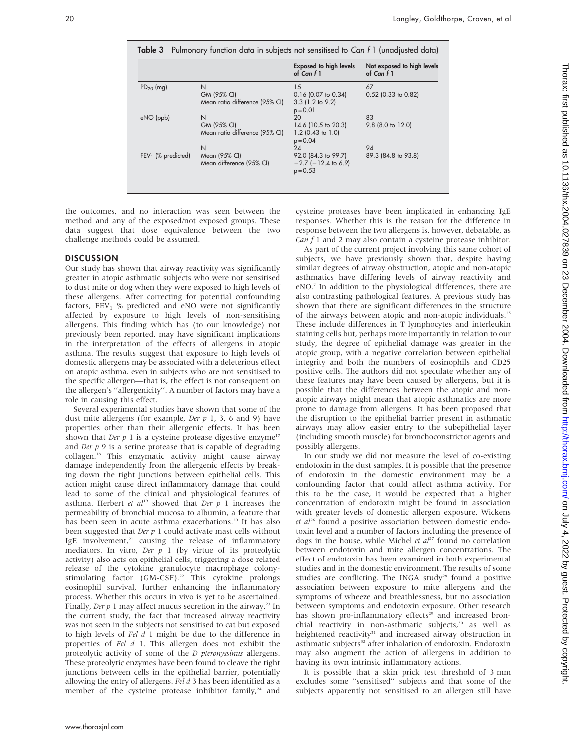|                      |                                | <b>Exposed to high levels</b><br>of Can $f_1$ | Not exposed to high levels<br>of Can f 1 |
|----------------------|--------------------------------|-----------------------------------------------|------------------------------------------|
| $PD_{20}$ (mg)       | N                              | 15                                            | 67                                       |
|                      | GM (95% CI)                    | $0.16$ (0.07 to 0.34)                         | $0.52$ (0.33 to 0.82)                    |
|                      | Mean ratio difference (95% CI) | $3.3$ (1.2 to 9.2)                            |                                          |
|                      |                                | $p = 0.01$                                    |                                          |
| eNO (ppb)            | N                              | 20                                            | 83                                       |
|                      | GM (95% CI)                    | 14.6 (10.5 to 20.3)                           | 9.8 (8.0 to 12.0)                        |
|                      | Mean ratio difference (95% CI) | $1.2$ (0.43 to 1.0)<br>$p = 0.04$             |                                          |
|                      | N                              | 24                                            | 94                                       |
| $FEV1$ (% predicted) | Mean (95% CI)                  | 92.0 (84.3 to 99.7)                           | 89.3 (84.8 to 93.8)                      |
|                      | Mean difference (95% CI)       | $-2.7$ ( $-12.4$ to 6.9)                      |                                          |
|                      |                                | $p = 0.53$                                    |                                          |

the outcomes, and no interaction was seen between the method and any of the exposed/not exposed groups. These data suggest that dose equivalence between the two challenge methods could be assumed.

### **DISCUSSION**

Our study has shown that airway reactivity was significantly greater in atopic asthmatic subjects who were not sensitised to dust mite or dog when they were exposed to high levels of these allergens. After correcting for potential confounding factors,  $FEV<sub>1</sub>$  % predicted and eNO were not significantly affected by exposure to high levels of non-sensitising allergens. This finding which has (to our knowledge) not previously been reported, may have significant implications in the interpretation of the effects of allergens in atopic asthma. The results suggest that exposure to high levels of domestic allergens may be associated with a deleterious effect on atopic asthma, even in subjects who are not sensitised to the specific allergen—that is, the effect is not consequent on the allergen's ''allergenicity''. A number of factors may have a role in causing this effect.

Several experimental studies have shown that some of the dust mite allergens (for example, Der  $p$  1, 3, 6 and 9) have properties other than their allergenic effects. It has been shown that Der  $p \, 1$  is a cysteine protease digestive enzyme<sup>17</sup> and Der  $p$  9 is a serine protease that is capable of degrading collagen.18 This enzymatic activity might cause airway damage independently from the allergenic effects by breaking down the tight junctions between epithelial cells. This action might cause direct inflammatory damage that could lead to some of the clinical and physiological features of asthma. Herbert et  $al^{19}$  showed that Der p 1 increases the permeability of bronchial mucosa to albumin, a feature that has been seen in acute asthma exacerbations.<sup>20</sup> It has also been suggested that  $Der p 1$  could activate mast cells without IgE involvement, $21$  causing the release of inflammatory mediators. In vitro, Der  $p$  1 (by virtue of its proteolytic activity) also acts on epithelial cells, triggering a dose related release of the cytokine granulocyte macrophage colonystimulating factor  $(GM-CSF)$ .<sup>22</sup> This cytokine prolongs eosinophil survival, further enhancing the inflammatory process. Whether this occurs in vivo is yet to be ascertained. Finally, Der  $p$  1 may affect mucus secretion in the airway.<sup>23</sup> In the current study, the fact that increased airway reactivity was not seen in the subjects not sensitised to cat but exposed to high levels of Fel d 1 might be due to the difference in properties of Fel d 1. This allergen does not exhibit the proteolytic activity of some of the *D pteronyssinus* allergens. These proteolytic enzymes have been found to cleave the tight junctions between cells in the epithelial barrier, potentially allowing the entry of allergens. Fel  $d$  3 has been identified as a member of the cysteine protease inhibitor family, $24$  and cysteine proteases have been implicated in enhancing IgE responses. Whether this is the reason for the difference in response between the two allergens is, however, debatable, as  $Can f 1$  and 2 may also contain a cysteine protease inhibitor.

As part of the current project involving this same cohort of subjects, we have previously shown that, despite having similar degrees of airway obstruction, atopic and non-atopic asthmatics have differing levels of airway reactivity and eNO.7 In addition to the physiological differences, there are also contrasting pathological features. A previous study has shown that there are significant differences in the structure of the airways between atopic and non-atopic individuals.25 These include differences in T lymphocytes and interleukin staining cells but, perhaps more importantly in relation to our study, the degree of epithelial damage was greater in the atopic group, with a negative correlation between epithelial integrity and both the numbers of eosinophils and CD25 positive cells. The authors did not speculate whether any of these features may have been caused by allergens, but it is possible that the differences between the atopic and nonatopic airways might mean that atopic asthmatics are more prone to damage from allergens. It has been proposed that the disruption to the epithelial barrier present in asthmatic airways may allow easier entry to the subepithelial layer (including smooth muscle) for bronchoconstrictor agents and possibly allergens.

In our study we did not measure the level of co-existing endotoxin in the dust samples. It is possible that the presence of endotoxin in the domestic environment may be a confounding factor that could affect asthma activity. For this to be the case, it would be expected that a higher concentration of endotoxin might be found in association with greater levels of domestic allergen exposure. Wickens et  $al^{26}$  found a positive association between domestic endotoxin level and a number of factors including the presence of dogs in the house, while Michel et  $al^{27}$  found no correlation between endotoxin and mite allergen concentrations. The effect of endotoxin has been examined in both experimental studies and in the domestic environment. The results of some studies are conflicting. The INGA study<sup>28</sup> found a positive association between exposure to mite allergens and the symptoms of wheeze and breathlessness, but no association between symptoms and endotoxin exposure. Other research has shown pro-inflammatory effects<sup>29</sup> and increased bronchial reactivity in non-asthmatic subjects,<sup>30</sup> as well as heightened reactivity<sup>31</sup> and increased airway obstruction in asthmatic subjects<sup>32</sup> after inhalation of endotoxin. Endotoxin may also augment the action of allergens in addition to having its own intrinsic inflammatory actions.

It is possible that a skin prick test threshold of 3 mm excludes some ''sensitised'' subjects and that some of the subjects apparently not sensitised to an allergen still have